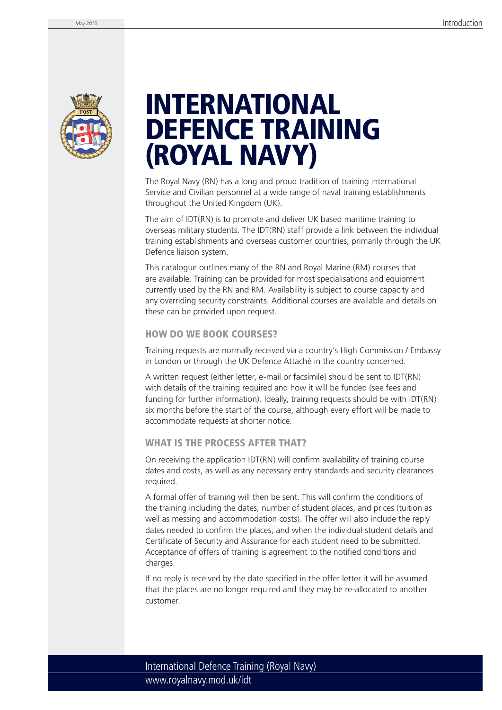

# **INTERNATIONAL DEFENCE TRAINING (ROYAL NAVY)**

The Royal Navy (RN) has a long and proud tradition of training international Service and Civilian personnel at a wide range of naval training establishments throughout the United Kingdom (UK).

The aim of IDT(RN) is to promote and deliver UK based maritime training to overseas military students. The IDT(RN) staff provide a link between the individual training establishments and overseas customer countries, primarily through the UK Defence liaison system.

This catalogue outlines many of the RN and Royal Marine (RM) courses that are available. Training can be provided for most specialisations and equipment currently used by the RN and RM. Availability is subject to course capacity and any overriding security constraints. Additional courses are available and details on these can be provided upon request.

# **HOW DO WE BOOK COURSES?**

Training requests are normally received via a country's High Commission / Embassy in London or through the UK Defence Attaché in the country concerned.

A written request (either letter, e-mail or facsimile) should be sent to IDT(RN) with details of the training required and how it will be funded (see fees and funding for further information). Ideally, training requests should be with IDT(RN) six months before the start of the course, although every effort will be made to accommodate requests at shorter notice.

### **WHAT IS THE PROCESS AFTER THAT?**

On receiving the application IDT(RN) will confirm availability of training course dates and costs, as well as any necessary entry standards and security clearances required.

A formal offer of training will then be sent. This will confirm the conditions of the training including the dates, number of student places, and prices (tuition as well as messing and accommodation costs). The offer will also include the reply dates needed to confirm the places, and when the individual student details and Certificate of Security and Assurance for each student need to be submitted. Acceptance of offers of training is agreement to the notified conditions and charges.

If no reply is received by the date specified in the offer letter it will be assumed that the places are no longer required and they may be re-allocated to another customer.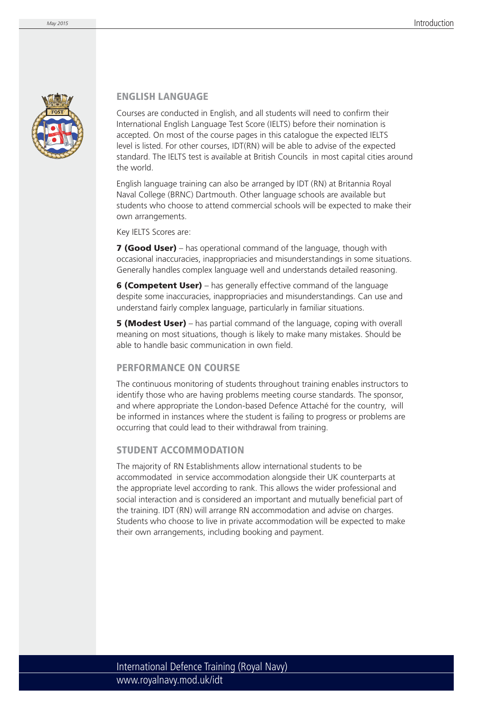

### **ENGLISH LANGUAGE**

Courses are conducted in English, and all students will need to confirm their International English Language Test Score (IELTS) before their nomination is accepted. On most of the course pages in this catalogue the expected IELTS level is listed. For other courses, IDT(RN) will be able to advise of the expected standard. The IELTS test is available at British Councils in most capital cities around the world.

English language training can also be arranged by IDT (RN) at Britannia Royal Naval College (BRNC) Dartmouth. Other language schools are available but students who choose to attend commercial schools will be expected to make their own arrangements.

Key IELTS Scores are:

**7 (Good User)** – has operational command of the language, though with occasional inaccuracies, inappropriacies and misunderstandings in some situations. Generally handles complex language well and understands detailed reasoning.

**6 (Competent User)** – has generally effective command of the language despite some inaccuracies, inappropriacies and misunderstandings. Can use and understand fairly complex language, particularly in familiar situations.

**5 (Modest User)** – has partial command of the language, coping with overall meaning on most situations, though is likely to make many mistakes. Should be able to handle basic communication in own field.

#### **PERFORMANCE ON COURSE**

The continuous monitoring of students throughout training enables instructors to identify those who are having problems meeting course standards. The sponsor, and where appropriate the London-based Defence Attaché for the country, will be informed in instances where the student is failing to progress or problems are occurring that could lead to their withdrawal from training.

### **STUDENT ACCOMMODATION**

The majority of RN Establishments allow international students to be accommodated in service accommodation alongside their UK counterparts at the appropriate level according to rank. This allows the wider professional and social interaction and is considered an important and mutually beneficial part of the training. IDT (RN) will arrange RN accommodation and advise on charges. Students who choose to live in private accommodation will be expected to make their own arrangements, including booking and payment.